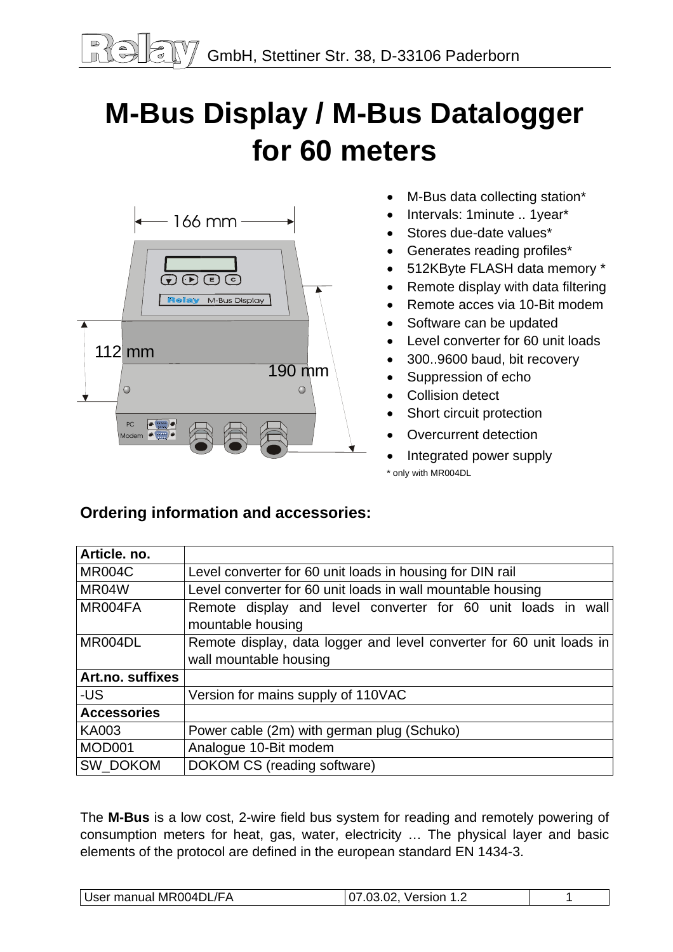# **M-Bus Display / M-Bus Datalogger for 60 meters**



- M-Bus data collecting station\*
- Intervals: 1minute .. 1year\*
- Stores due-date values\*
- Generates reading profiles\*
- 512KByte FLASH data memory \*
- Remote display with data filtering
- Remote acces via 10-Bit modem
- Software can be updated
- Level converter for 60 unit loads
- 300..9600 baud, bit recovery
- Suppression of echo
- Collision detect
- Short circuit protection
- Overcurrent detection
- Integrated power supply \* only with MR004DL

# **Ordering information and accessories:**

| Article. no.       |                                                                      |  |  |  |
|--------------------|----------------------------------------------------------------------|--|--|--|
| <b>MR004C</b>      | Level converter for 60 unit loads in housing for DIN rail            |  |  |  |
| MR04W              | Level converter for 60 unit loads in wall mountable housing          |  |  |  |
| MR004FA            | Remote display and level converter for 60 unit loads in wall         |  |  |  |
|                    | mountable housing                                                    |  |  |  |
| MR004DL            | Remote display, data logger and level converter for 60 unit loads in |  |  |  |
|                    | wall mountable housing                                               |  |  |  |
| Art.no. suffixes   |                                                                      |  |  |  |
| -US                | Version for mains supply of 110VAC                                   |  |  |  |
| <b>Accessories</b> |                                                                      |  |  |  |
| <b>KA003</b>       | Power cable (2m) with german plug (Schuko)                           |  |  |  |
| MOD001             | Analogue 10-Bit modem                                                |  |  |  |
| SW_DOKOM           | DOKOM CS (reading software)                                          |  |  |  |

The **M-Bus** is a low cost, 2-wire field bus system for reading and remotely powering of consumption meters for heat, gas, water, electricity … The physical layer and basic elements of the protocol are defined in the european standard EN 1434-3.

| User manual MR004DL/FA | 07.03.02. Version 1.2 |  |
|------------------------|-----------------------|--|
|------------------------|-----------------------|--|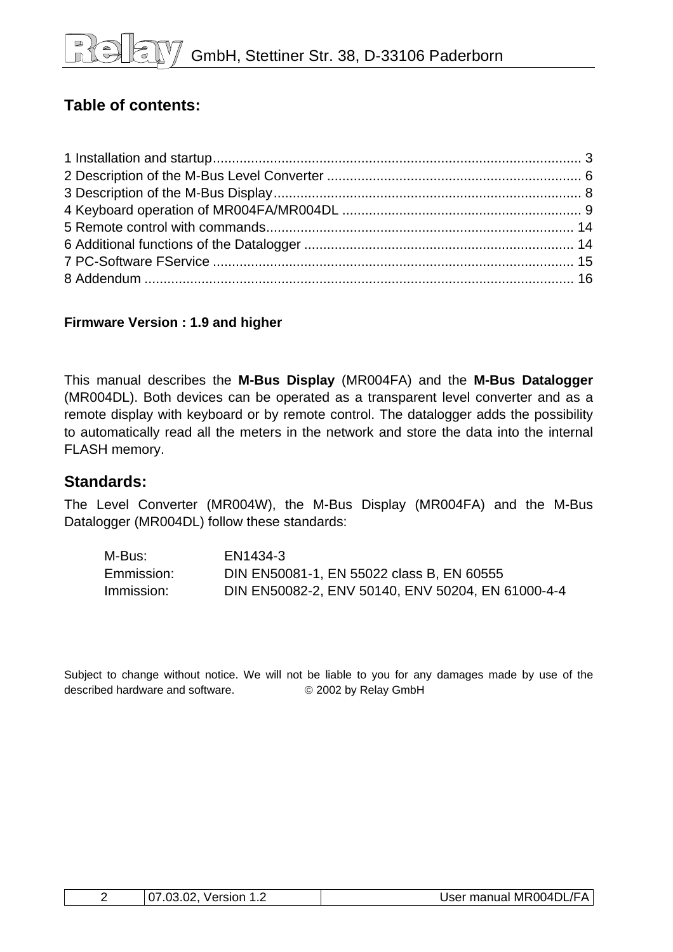# **Table of contents:**

#### **Firmware Version : 1.9 and higher**

This manual describes the **M-Bus Display** (MR004FA) and the **M-Bus Datalogger** (MR004DL). Both devices can be operated as a transparent level converter and as a remote display with keyboard or by remote control. The datalogger adds the possibility to automatically read all the meters in the network and store the data into the internal FLASH memory.

#### **Standards:**

The Level Converter (MR004W), the M-Bus Display (MR004FA) and the M-Bus Datalogger (MR004DL) follow these standards:

| M-Bus:     | EN1434-3                                          |
|------------|---------------------------------------------------|
| Emmission: | DIN EN50081-1, EN 55022 class B, EN 60555         |
| Immission: | DIN EN50082-2, ENV 50140, ENV 50204, EN 61000-4-4 |

Subject to change without notice. We will not be liable to you for any damages made by use of the described hardware and software. © 2002 by Relay GmbH

| $\sim$<br>$07.0$ °<br>Version<br>$\mathbf{U}$<br>. | User manual MR004DL/FA |
|----------------------------------------------------|------------------------|
|----------------------------------------------------|------------------------|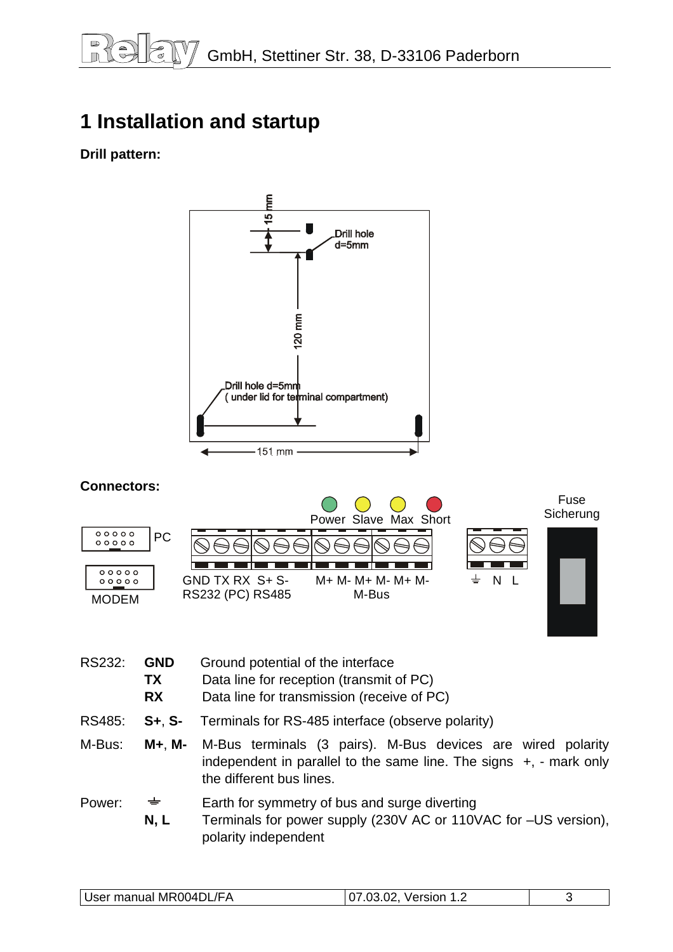# <span id="page-2-0"></span>**1 Installation and startup**

### **Drill pattern:**



 **N, L** Terminals for power supply (230V AC or 110VAC for –US version), polarity independent

| User manual MR004DL/FA<br>07.03.02, Version 1.2 |
|-------------------------------------------------|
|-------------------------------------------------|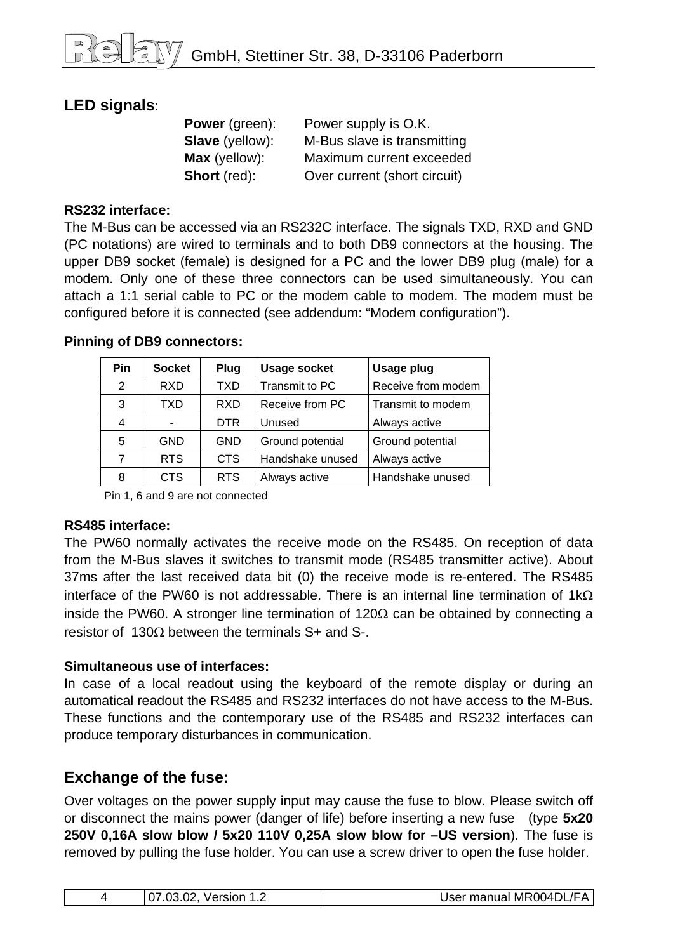## **LED signals**:

**Power** (green): Power supply is O.K. **Slave** (yellow): M-Bus slave is transmitting **Max** (yellow): Maximum current exceeded **Short** (red): Over current (short circuit)

#### **RS232 interface:**

The M-Bus can be accessed via an RS232C interface. The signals TXD, RXD and GND (PC notations) are wired to terminals and to both DB9 connectors at the housing. The upper DB9 socket (female) is designed for a PC and the lower DB9 plug (male) for a modem. Only one of these three connectors can be used simultaneously. You can attach a 1:1 serial cable to PC or the modem cable to modem. The modem must be configured before it is connected (see addendum: "Modem configuration").

| <b>Pin</b> | <b>Socket</b> | Plug       | <b>Usage socket</b> | <b>Usage plug</b>  |
|------------|---------------|------------|---------------------|--------------------|
| 2          | <b>RXD</b>    | <b>TXD</b> | Transmit to PC      | Receive from modem |
| 3          | TXD           | <b>RXD</b> | Receive from PC     | Transmit to modem  |
| 4          |               | <b>DTR</b> | Unused              | Always active      |
| 5          | <b>GND</b>    | <b>GND</b> | Ground potential    | Ground potential   |
| 7          | <b>RTS</b>    | <b>CTS</b> | Handshake unused    | Always active      |
| 8          | <b>CTS</b>    | <b>RTS</b> | Always active       | Handshake unused   |

#### **Pinning of DB9 connectors:**

Pin 1, 6 and 9 are not connected

#### **RS485 interface:**

The PW60 normally activates the receive mode on the RS485. On reception of data from the M-Bus slaves it switches to transmit mode (RS485 transmitter active). About 37ms after the last received data bit (0) the receive mode is re-entered. The RS485 interface of the PW60 is not addressable. There is an internal line termination of  $1k\Omega$ inside the PW60. A stronger line termination of 120Ω can be obtained by connecting a resistor of 130Ω between the terminals S+ and S-.

#### **Simultaneous use of interfaces:**

In case of a local readout using the keyboard of the remote display or during an automatical readout the RS485 and RS232 interfaces do not have access to the M-Bus. These functions and the contemporary use of the RS485 and RS232 interfaces can produce temporary disturbances in communication.

## **Exchange of the fuse:**

Over voltages on the power supply input may cause the fuse to blow. Please switch off or disconnect the mains power (danger of life) before inserting a new fuse (type **5x20 250V 0,16A slow blow / 5x20 110V 0,25A slow blow for –US version**). The fuse is removed by pulling the fuse holder. You can use a screw driver to open the fuse holder.

| User manual MR004DL/FA<br>107.03.02, Version 1.2 |  |
|--------------------------------------------------|--|
|--------------------------------------------------|--|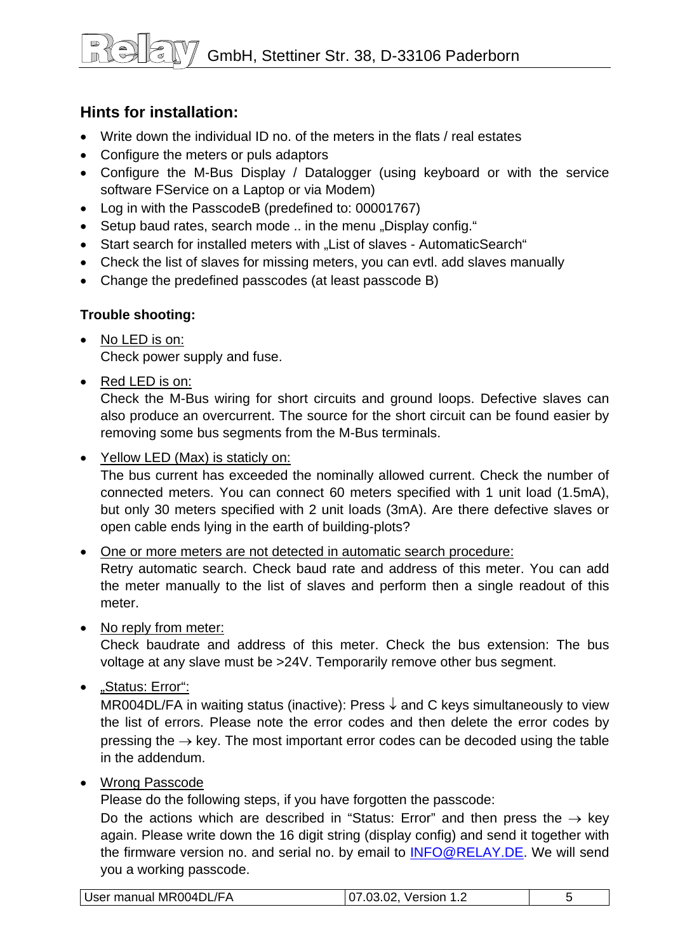# GmbH, Stettiner Str. 38, D-33106 Paderborn

## **Hints for installation:**

- Write down the individual ID no. of the meters in the flats / real estates
- Configure the meters or puls adaptors
- Configure the M-Bus Display / Datalogger (using keyboard or with the service software FService on a Laptop or via Modem)
- Log in with the PasscodeB (predefined to: 00001767)
- Setup baud rates, search mode .. in the menu "Display config."
- Start search for installed meters with "List of slaves AutomaticSearch"
- Check the list of slaves for missing meters, you can evtl. add slaves manually
- Change the predefined passcodes (at least passcode B)

#### **Trouble shooting:**

- No LED is on: Check power supply and fuse.
- Red LED is on:

Check the M-Bus wiring for short circuits and ground loops. Defective slaves can also produce an overcurrent. The source for the short circuit can be found easier by removing some bus segments from the M-Bus terminals.

• Yellow LED (Max) is staticly on:

The bus current has exceeded the nominally allowed current. Check the number of connected meters. You can connect 60 meters specified with 1 unit load (1.5mA), but only 30 meters specified with 2 unit loads (3mA). Are there defective slaves or open cable ends lying in the earth of building-plots?

• One or more meters are not detected in automatic search procedure:

Retry automatic search. Check baud rate and address of this meter. You can add the meter manually to the list of slaves and perform then a single readout of this meter.

• No reply from meter:

Check baudrate and address of this meter. Check the bus extension: The bus voltage at any slave must be >24V. Temporarily remove other bus segment.

• "Status: Error":

MR004DL/FA in waiting status (inactive): Press  $\downarrow$  and C keys simultaneously to view the list of errors. Please note the error codes and then delete the error codes by pressing the  $\rightarrow$  key. The most important error codes can be decoded using the table in the addendum.

• Wrong Passcode

Please do the following steps, if you have forgotten the passcode:

Do the actions which are described in "Status: Error" and then press the  $\rightarrow$  key again. Please write down the 16 digit string (display config) and send it together with the firmware version no. and serial no. by email to [INFO@RELAY.DE.](mailto:INFO@RELAY.DE) We will send you a working passcode.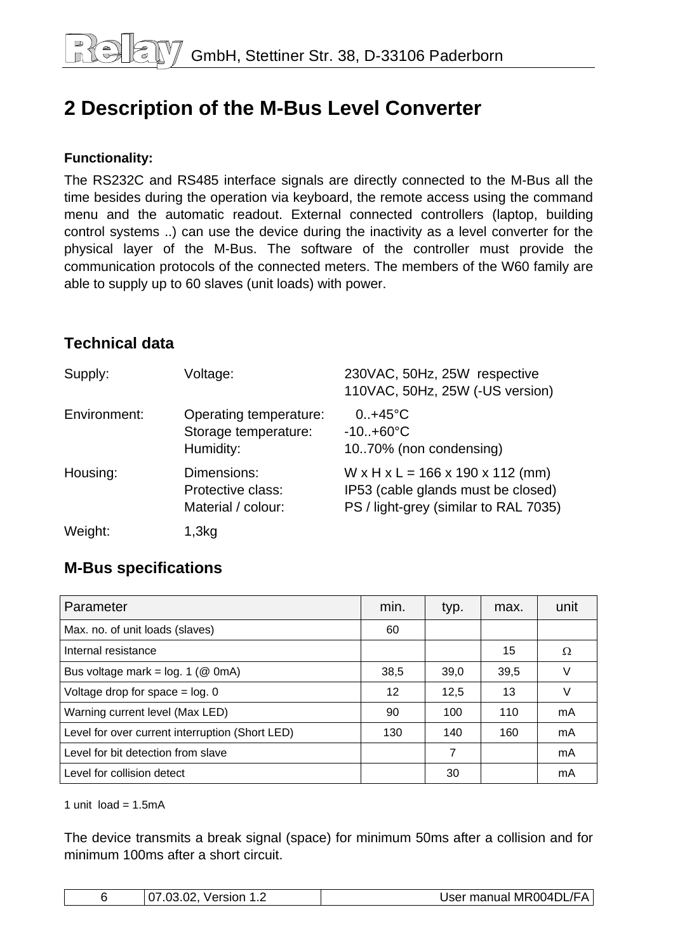# <span id="page-5-0"></span>**2 Description of the M-Bus Level Converter**

#### **Functionality:**

The RS232C and RS485 interface signals are directly connected to the M-Bus all the time besides during the operation via keyboard, the remote access using the command menu and the automatic readout. External connected controllers (laptop, building control systems ..) can use the device during the inactivity as a level converter for the physical layer of the M-Bus. The software of the controller must provide the communication protocols of the connected meters. The members of the W60 family are able to supply up to 60 slaves (unit loads) with power.

## **Technical data**

| Supply:      | Voltage:                                                    | 230VAC, 50Hz, 25W respective<br>110VAC, 50Hz, 25W (-US version)                                                                       |
|--------------|-------------------------------------------------------------|---------------------------------------------------------------------------------------------------------------------------------------|
| Environment: | Operating temperature:<br>Storage temperature:<br>Humidity: | $0.1 + 45^{\circ}C$<br>$-10+60°C$<br>10.70% (non condensing)                                                                          |
| Housing:     | Dimensions:<br>Protective class:<br>Material / colour:      | $W \times H \times L = 166 \times 190 \times 112$ (mm)<br>IP53 (cable glands must be closed)<br>PS / light-grey (similar to RAL 7035) |
| Weight:      | 1,3kg                                                       |                                                                                                                                       |

## **M-Bus specifications**

| Parameter                                       | min. | typ. | max. | unit |
|-------------------------------------------------|------|------|------|------|
| Max. no. of unit loads (slaves)                 | 60   |      |      |      |
| Internal resistance                             |      |      | 15   | Ω    |
| Bus voltage mark = $log. 1$ ( $@$ 0mA)          | 38,5 | 39,0 | 39,5 | V    |
| Voltage drop for space $=$ log. 0               | 12   | 12,5 | 13   | V    |
| Warning current level (Max LED)                 | 90   | 100  | 110  | mA   |
| Level for over current interruption (Short LED) | 130  | 140  | 160  | mA   |
| Level for bit detection from slave              |      | 7    |      | mA   |
| Level for collision detect                      |      | 30   |      | mA   |

1 unit  $load = 1.5mA$ 

The device transmits a break signal (space) for minimum 50ms after a collision and for minimum 100ms after a short circuit.

| 07.03.02, Version<br>. | User manual MR004DL/FA |
|------------------------|------------------------|
|------------------------|------------------------|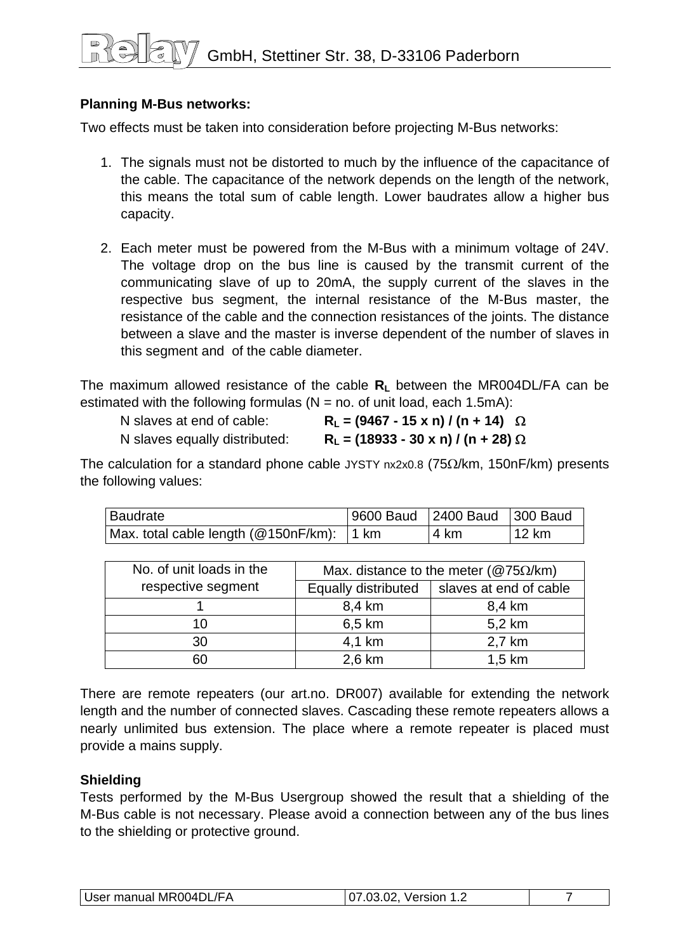#### **Planning M-Bus networks:**

Two effects must be taken into consideration before projecting M-Bus networks:

- 1. The signals must not be distorted to much by the influence of the capacitance of the cable. The capacitance of the network depends on the length of the network, this means the total sum of cable length. Lower baudrates allow a higher bus capacity.
- 2. Each meter must be powered from the M-Bus with a minimum voltage of 24V. The voltage drop on the bus line is caused by the transmit current of the communicating slave of up to 20mA, the supply current of the slaves in the respective bus segment, the internal resistance of the M-Bus master, the resistance of the cable and the connection resistances of the joints. The distance between a slave and the master is inverse dependent of the number of slaves in this segment and of the cable diameter.

The maximum allowed resistance of the cable R<sub>L</sub> between the MR004DL/FA can be estimated with the following formulas  $(N = no$ . of unit load, each 1.5mA):

| N slaves at end of cable:     | $R_L = (9467 - 15 \times n) / (n + 14)$ $\Omega$ |
|-------------------------------|--------------------------------------------------|
| N slaves equally distributed: | $R_L = (18933 - 30 \times n) / (n + 28) \Omega$  |

The calculation for a standard phone cable JYSTY  $nx2x0.8$  (75 $\Omega$ /km, 150nF/km) presents the following values:

| Baudrate                                  | 9600 Baud 2400 Baud 300 Baud |        |
|-------------------------------------------|------------------------------|--------|
| Max. total cable length (@150nF/km): 1 km | 4 km                         | 112 km |

| No. of unit loads in the |                     | Max. distance to the meter ( $@75\Omega/km$ ) |
|--------------------------|---------------------|-----------------------------------------------|
| respective segment       | Equally distributed | slaves at end of cable                        |
|                          | 8,4 km              | 8,4 km                                        |
| 10                       | 6,5 km              | 5,2 km                                        |
| 30                       | 4,1 km              | 2,7 km                                        |
| 60                       | 2,6 km              | $1,5$ km                                      |

There are remote repeaters (our art.no. DR007) available for extending the network length and the number of connected slaves. Cascading these remote repeaters allows a nearly unlimited bus extension. The place where a remote repeater is placed must provide a mains supply.

#### **Shielding**

Tests performed by the M-Bus Usergroup showed the result that a shielding of the M-Bus cable is not necessary. Please avoid a connection between any of the bus lines to the shielding or protective ground.

| User manual MR004DL/FA | nn.<br>~~<br>Version<br>. Z |  |
|------------------------|-----------------------------|--|
|------------------------|-----------------------------|--|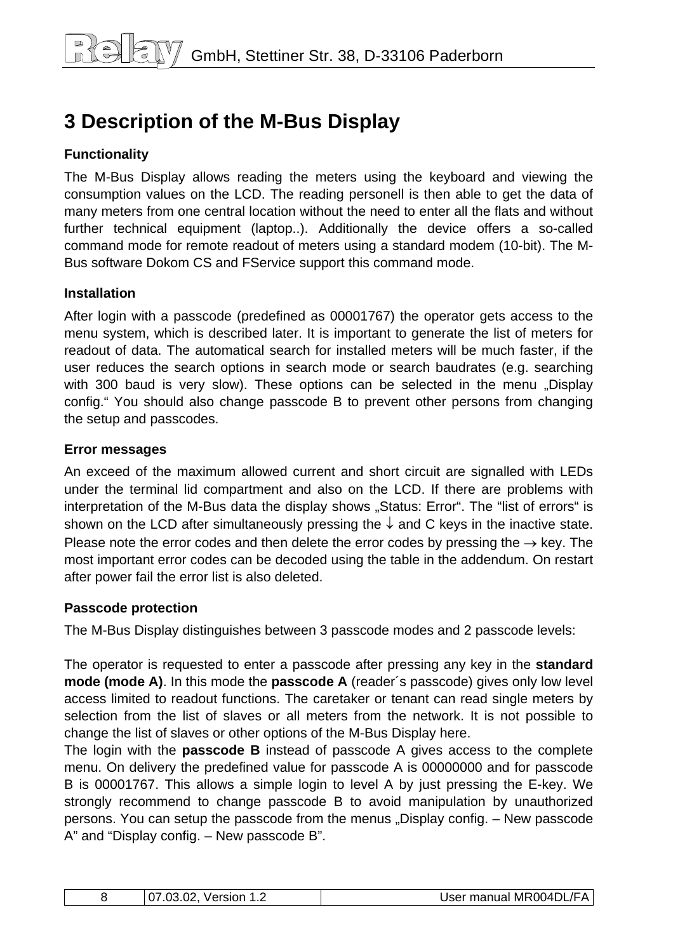# <span id="page-7-0"></span>**3 Description of the M-Bus Display**

#### **Functionality**

The M-Bus Display allows reading the meters using the keyboard and viewing the consumption values on the LCD. The reading personell is then able to get the data of many meters from one central location without the need to enter all the flats and without further technical equipment (laptop..). Additionally the device offers a so-called command mode for remote readout of meters using a standard modem (10-bit). The M-Bus software Dokom CS and FService support this command mode.

#### **Installation**

After login with a passcode (predefined as 00001767) the operator gets access to the menu system, which is described later. It is important to generate the list of meters for readout of data. The automatical search for installed meters will be much faster, if the user reduces the search options in search mode or search baudrates (e.g. searching with 300 baud is very slow). These options can be selected in the menu "Display config." You should also change passcode B to prevent other persons from changing the setup and passcodes.

#### **Error messages**

An exceed of the maximum allowed current and short circuit are signalled with LEDs under the terminal lid compartment and also on the LCD. If there are problems with interpretation of the M-Bus data the display shows "Status: Error". The "list of errors" is shown on the LCD after simultaneously pressing the  $\downarrow$  and C keys in the inactive state. Please note the error codes and then delete the error codes by pressing the  $\rightarrow$  key. The most important error codes can be decoded using the table in the addendum. On restart after power fail the error list is also deleted.

#### **Passcode protection**

The M-Bus Display distinguishes between 3 passcode modes and 2 passcode levels:

The operator is requested to enter a passcode after pressing any key in the **standard mode (mode A)**. In this mode the **passcode A** (reader´s passcode) gives only low level access limited to readout functions. The caretaker or tenant can read single meters by selection from the list of slaves or all meters from the network. It is not possible to change the list of slaves or other options of the M-Bus Display here.

The login with the **passcode B** instead of passcode A gives access to the complete menu. On delivery the predefined value for passcode A is 00000000 and for passcode B is 00001767. This allows a simple login to level A by just pressing the E-key. We strongly recommend to change passcode B to avoid manipulation by unauthorized persons. You can setup the passcode from the menus "Display config. – New passcode A" and "Display config. – New passcode B".

|  | $\cap$<br>Version<br>$\overline{\mathcal{L}}$<br>.uJ<br>. <u>. .</u> | User manual MR004DL/FA |
|--|----------------------------------------------------------------------|------------------------|
|--|----------------------------------------------------------------------|------------------------|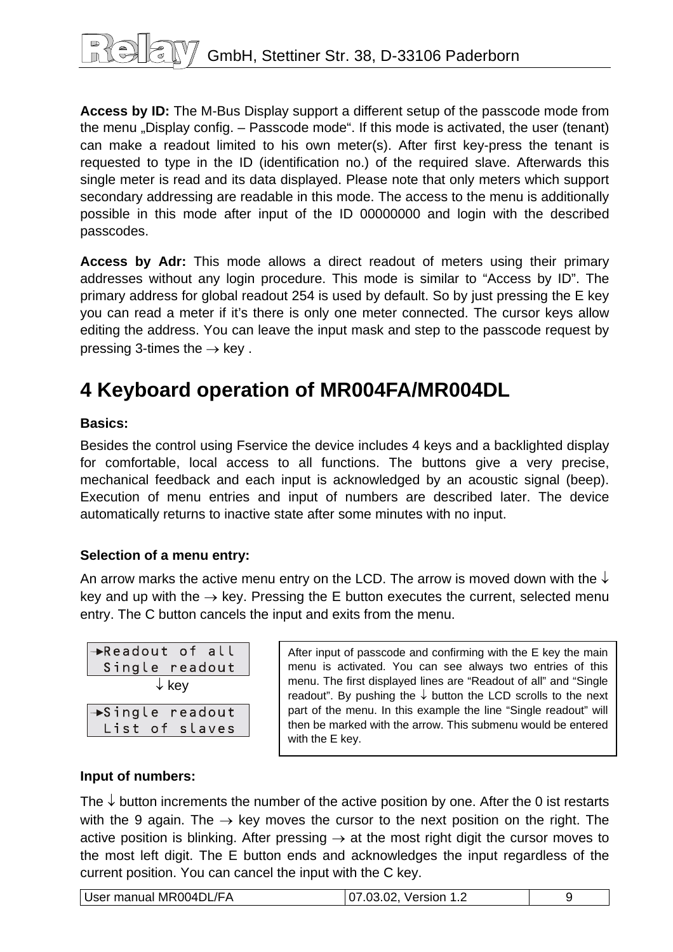<span id="page-8-0"></span>**Access by ID:** The M-Bus Display support a different setup of the passcode mode from the menu "Display config.  $-$  Passcode mode". If this mode is activated, the user (tenant) can make a readout limited to his own meter(s). After first key-press the tenant is requested to type in the ID (identification no.) of the required slave. Afterwards this single meter is read and its data displayed. Please note that only meters which support secondary addressing are readable in this mode. The access to the menu is additionally possible in this mode after input of the ID 00000000 and login with the described passcodes.

**Access by Adr:** This mode allows a direct readout of meters using their primary addresses without any login procedure. This mode is similar to "Access by ID". The primary address for global readout 254 is used by default. So by just pressing the E key you can read a meter if it's there is only one meter connected. The cursor keys allow editing the address. You can leave the input mask and step to the passcode request by pressing 3-times the  $\rightarrow$  key.

# **4 Keyboard operation of MR004FA/MR004DL**

#### **Basics:**

Besides the control using Fservice the device includes 4 keys and a backlighted display for comfortable, local access to all functions. The buttons give a very precise, mechanical feedback and each input is acknowledged by an acoustic signal (beep). Execution of menu entries and input of numbers are described later. The device automatically returns to inactive state after some minutes with no input.

#### **Selection of a menu entry:**

An arrow marks the active menu entry on the LCD. The arrow is moved down with the  $\downarrow$ key and up with the  $\rightarrow$  key. Pressing the E button executes the current, selected menu entry. The C button cancels the input and exits from the menu.

| $\rightarrow$ Readout of all |
|------------------------------|
| Single readout               |
| $\downarrow$ key             |
|                              |
| $\rightarrow$ Single readout |
| List of slaves               |

After input of passcode and confirming with the E key the main menu is activated. You can see always two entries of this menu. The first displayed lines are "Readout of all" and "Single readout". By pushing the  $\downarrow$  button the LCD scrolls to the next part of the menu. In this example the line "Single readout" will then be marked with the arrow. This submenu would be entered with the E key.

#### **Input of numbers:**

The  $\downarrow$  button increments the number of the active position by one. After the 0 ist restarts with the 9 again. The  $\rightarrow$  key moves the cursor to the next position on the right. The active position is blinking. After pressing  $\rightarrow$  at the most right digit the cursor moves to the most left digit. The E button ends and acknowledges the input regardless of the current position. You can cancel the input with the C key.

| User manual MR004DL/FA | 07.03.02, Version 1.2 |  |
|------------------------|-----------------------|--|
|------------------------|-----------------------|--|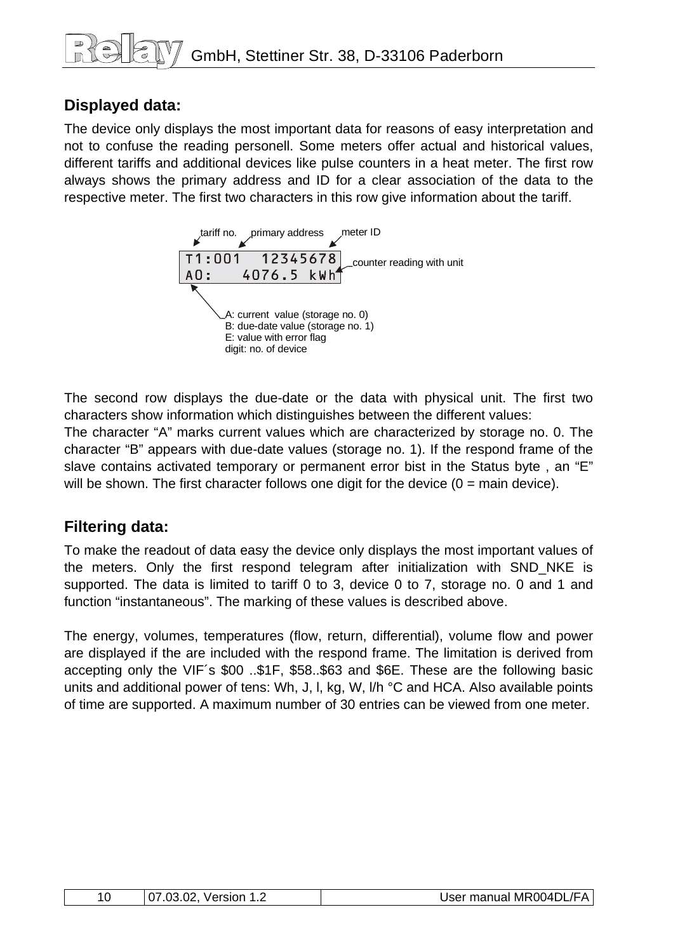## **Displayed data:**

The device only displays the most important data for reasons of easy interpretation and not to confuse the reading personell. Some meters offer actual and historical values, different tariffs and additional devices like pulse counters in a heat meter. The first row always shows the primary address and ID for a clear association of the data to the respective meter. The first two characters in this row give information about the tariff.



The second row displays the due-date or the data with physical unit. The first two characters show information which distinguishes between the different values:

The character "A" marks current values which are characterized by storage no. 0. The character "B" appears with due-date values (storage no. 1). If the respond frame of the slave contains activated temporary or permanent error bist in the Status byte , an "E" will be shown. The first character follows one digit for the device  $(0 = \text{main device})$ .

## **Filtering data:**

To make the readout of data easy the device only displays the most important values of the meters. Only the first respond telegram after initialization with SND\_NKE is supported. The data is limited to tariff 0 to 3, device 0 to 7, storage no. 0 and 1 and function "instantaneous". The marking of these values is described above.

The energy, volumes, temperatures (flow, return, differential), volume flow and power are displayed if the are included with the respond frame. The limitation is derived from accepting only the VIF´s \$00 ..\$1F, \$58..\$63 and \$6E. These are the following basic units and additional power of tens: Wh, J, I, kg, W, I/h °C and HCA. Also available points of time are supported. A maximum number of 30 entries can be viewed from one meter.

| $\Omega$ | $\cap$<br>nn.<br>Version<br>.UJ<br>. UZ<br>- - | User manual MR004DL/FA |
|----------|------------------------------------------------|------------------------|
|----------|------------------------------------------------|------------------------|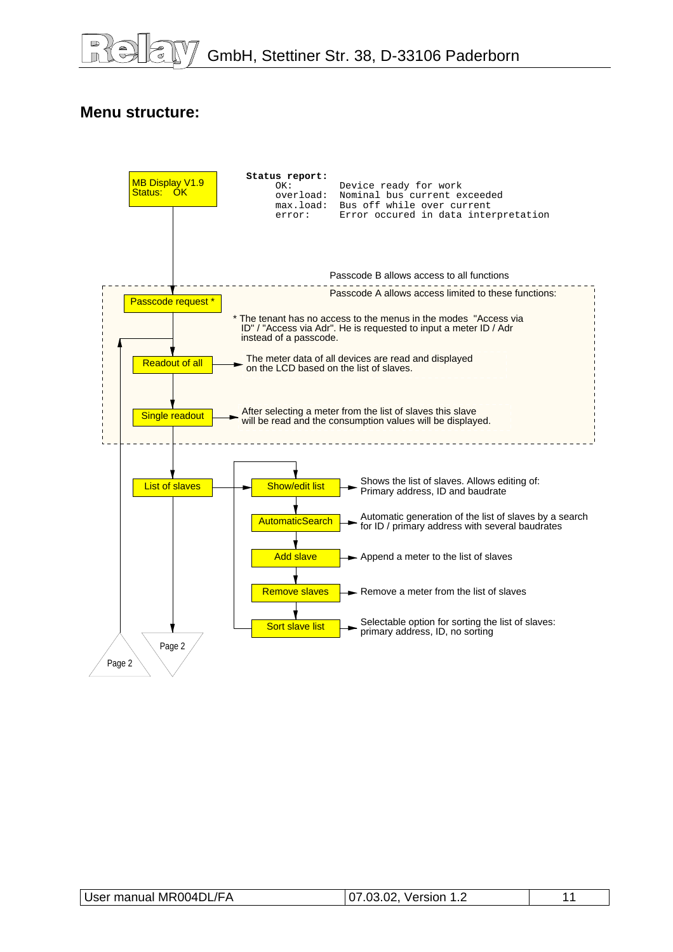#### **Menu structure:**



| User manual MR004DL/FA | 07.03.02, Version 1.2 |  |
|------------------------|-----------------------|--|
|                        |                       |  |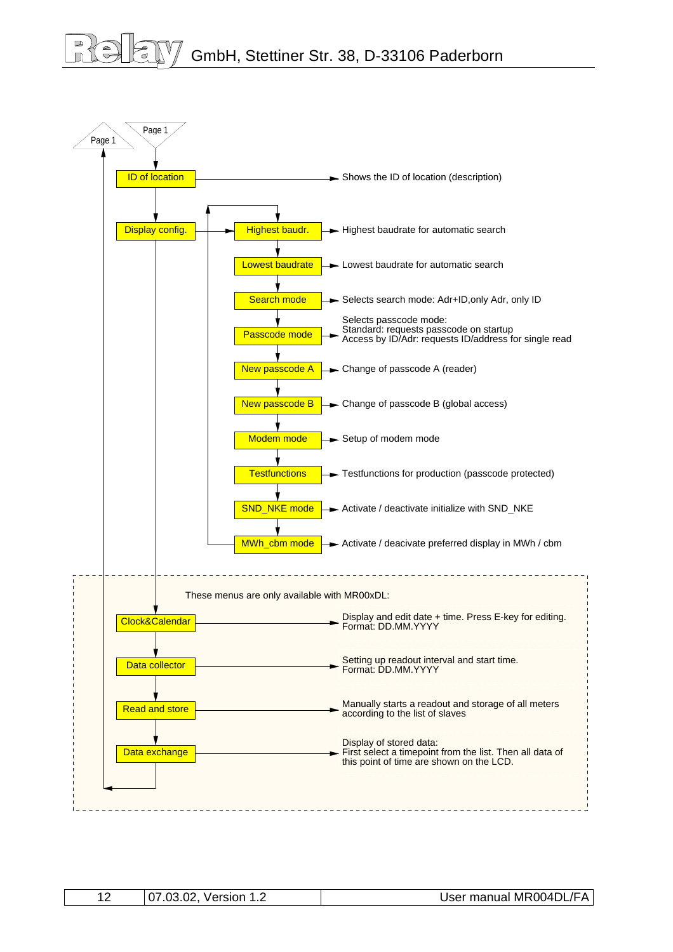# GmbH, Stettiner Str. 38, D-33106 Paderborn



| 07.03<br>$\cap$<br>Version<br>. Z | User manual MR004DL/FA |
|-----------------------------------|------------------------|
|-----------------------------------|------------------------|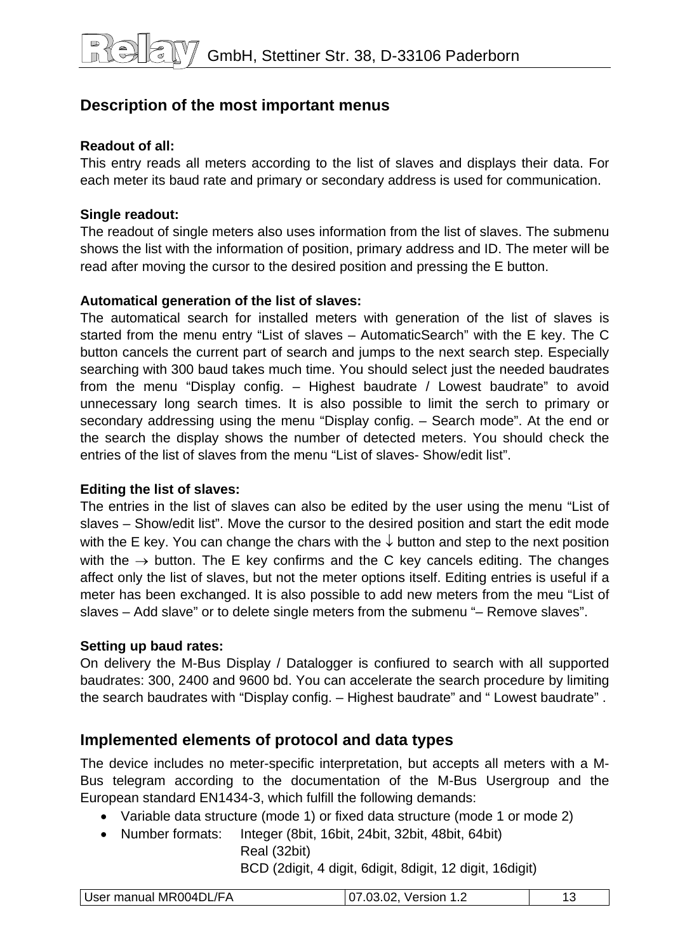## **Description of the most important menus**

#### **Readout of all:**

This entry reads all meters according to the list of slaves and displays their data. For each meter its baud rate and primary or secondary address is used for communication.

#### **Single readout:**

The readout of single meters also uses information from the list of slaves. The submenu shows the list with the information of position, primary address and ID. The meter will be read after moving the cursor to the desired position and pressing the E button.

#### **Automatical generation of the list of slaves:**

The automatical search for installed meters with generation of the list of slaves is started from the menu entry "List of slaves – AutomaticSearch" with the E key. The C button cancels the current part of search and jumps to the next search step. Especially searching with 300 baud takes much time. You should select just the needed baudrates from the menu "Display config. – Highest baudrate / Lowest baudrate" to avoid unnecessary long search times. It is also possible to limit the serch to primary or secondary addressing using the menu "Display config. – Search mode". At the end or the search the display shows the number of detected meters. You should check the entries of the list of slaves from the menu "List of slaves- Show/edit list"

#### **Editing the list of slaves:**

The entries in the list of slaves can also be edited by the user using the menu "List of slaves – Show/edit list". Move the cursor to the desired position and start the edit mode with the E key. You can change the chars with the  $\downarrow$  button and step to the next position with the  $\rightarrow$  button. The E key confirms and the C key cancels editing. The changes affect only the list of slaves, but not the meter options itself. Editing entries is useful if a meter has been exchanged. It is also possible to add new meters from the meu "List of slaves – Add slave" or to delete single meters from the submenu "– Remove slaves".

#### **Setting up baud rates:**

On delivery the M-Bus Display / Datalogger is confiured to search with all supported baudrates: 300, 2400 and 9600 bd. You can accelerate the search procedure by limiting the search baudrates with "Display config. – Highest baudrate" and " Lowest baudrate" .

## **Implemented elements of protocol and data types**

The device includes no meter-specific interpretation, but accepts all meters with a M-Bus telegram according to the documentation of the M-Bus Usergroup and the European standard EN1434-3, which fulfill the following demands:

- Variable data structure (mode 1) or fixed data structure (mode 1 or mode 2)
- Number formats: Integer (8bit, 16bit, 24bit, 32bit, 48bit, 64bit)

Real (32bit)

BCD (2digit, 4 digit, 6digit, 8digit, 12 digit, 16digit)

| User manual MR004DL/FA | <b>Version</b><br>. . <u>.</u> |  |
|------------------------|--------------------------------|--|
|                        |                                |  |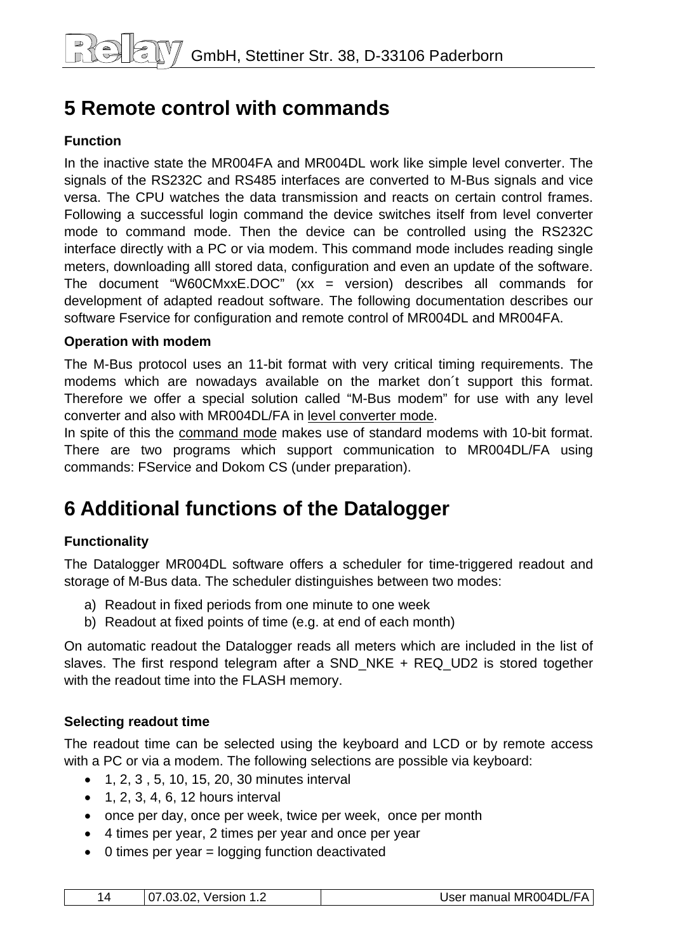# <span id="page-13-0"></span>**5 Remote control with commands**

#### **Function**

In the inactive state the MR004FA and MR004DL work like simple level converter. The signals of the RS232C and RS485 interfaces are converted to M-Bus signals and vice versa. The CPU watches the data transmission and reacts on certain control frames. Following a successful login command the device switches itself from level converter mode to command mode. Then the device can be controlled using the RS232C interface directly with a PC or via modem. This command mode includes reading single meters, downloading alll stored data, configuration and even an update of the software. The document "W60CMxxE.DOC"  $(xx = version)$  describes all commands for development of adapted readout software. The following documentation describes our software Fservice for configuration and remote control of MR004DL and MR004FA.

#### **Operation with modem**

The M-Bus protocol uses an 11-bit format with very critical timing requirements. The modems which are nowadays available on the market don´t support this format. Therefore we offer a special solution called "M-Bus modem" for use with any level converter and also with MR004DL/FA in level converter mode.

In spite of this the command mode makes use of standard modems with 10-bit format. There are two programs which support communication to MR004DL/FA using commands: FService and Dokom CS (under preparation).

# **6 Additional functions of the Datalogger**

#### **Functionality**

The Datalogger MR004DL software offers a scheduler for time-triggered readout and storage of M-Bus data. The scheduler distinguishes between two modes:

- a) Readout in fixed periods from one minute to one week
- b) Readout at fixed points of time (e.g. at end of each month)

On automatic readout the Datalogger reads all meters which are included in the list of slaves. The first respond telegram after a SND\_NKE + REQ\_UD2 is stored together with the readout time into the FLASH memory.

#### **Selecting readout time**

The readout time can be selected using the keyboard and LCD or by remote access with a PC or via a modem. The following selections are possible via keyboard:

- 1, 2, 3 , 5, 10, 15, 20, 30 minutes interval
- $\bullet$  1, 2, 3, 4, 6, 12 hours interval
- once per day, once per week, twice per week, once per month
- 4 times per year, 2 times per year and once per year
- 0 times per year = logging function deactivated

|  | 07.03.02, Version 1.2 | User manual MR004DL/FA |
|--|-----------------------|------------------------|
|--|-----------------------|------------------------|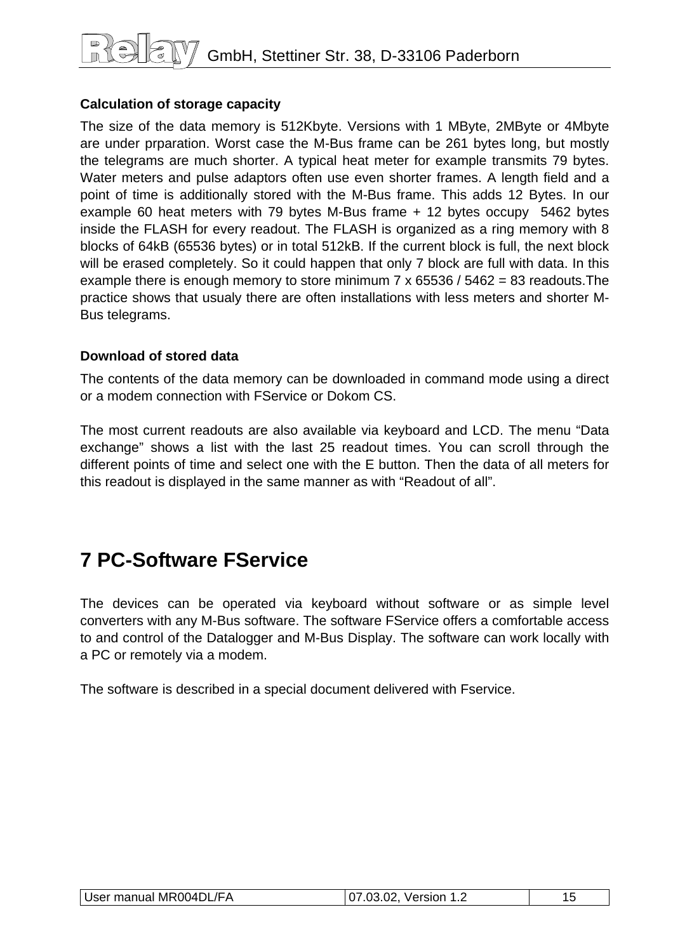# <span id="page-14-0"></span>GmbH, Stettiner Str. 38, D-33106 Paderborn

#### **Calculation of storage capacity**

The size of the data memory is 512Kbyte. Versions with 1 MByte, 2MByte or 4Mbyte are under prparation. Worst case the M-Bus frame can be 261 bytes long, but mostly the telegrams are much shorter. A typical heat meter for example transmits 79 bytes. Water meters and pulse adaptors often use even shorter frames. A length field and a point of time is additionally stored with the M-Bus frame. This adds 12 Bytes. In our example 60 heat meters with 79 bytes M-Bus frame + 12 bytes occupy 5462 bytes inside the FLASH for every readout. The FLASH is organized as a ring memory with 8 blocks of 64kB (65536 bytes) or in total 512kB. If the current block is full, the next block will be erased completely. So it could happen that only 7 block are full with data. In this example there is enough memory to store minimum 7 x 65536 / 5462 = 83 readouts.The practice shows that usualy there are often installations with less meters and shorter M-Bus telegrams.

#### **Download of stored data**

The contents of the data memory can be downloaded in command mode using a direct or a modem connection with FService or Dokom CS.

The most current readouts are also available via keyboard and LCD. The menu "Data exchange" shows a list with the last 25 readout times. You can scroll through the different points of time and select one with the E button. Then the data of all meters for this readout is displayed in the same manner as with "Readout of all".

# **7 PC-Software FService**

The devices can be operated via keyboard without software or as simple level converters with any M-Bus software. The software FService offers a comfortable access to and control of the Datalogger and M-Bus Display. The software can work locally with a PC or remotely via a modem.

The software is described in a special document delivered with Fservice.